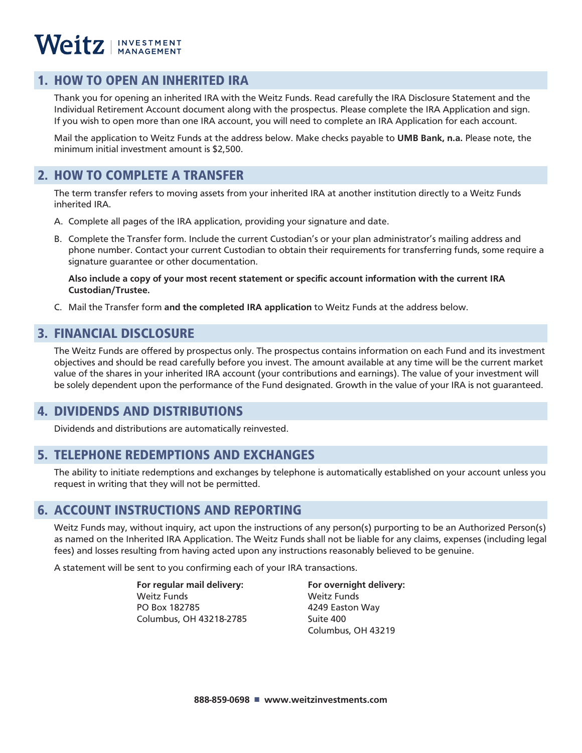# Weitz | INVESTMENT

### 1. HOW TO OPEN AN INHERITED IRA

Thank you for opening an inherited IRA with the Weitz Funds. Read carefully the IRA Disclosure Statement and the Individual Retirement Account document along with the prospectus. Please complete the IRA Application and sign. If you wish to open more than one IRA account, you will need to complete an IRA Application for each account.

Mail the application to Weitz Funds at the address below. Make checks payable to **UMB Bank, n.a.** Please note, the minimum initial investment amount is \$2,500.

### 2. HOW TO COMPLETE A TRANSFER

The term transfer refers to moving assets from your inherited IRA at another institution directly to a Weitz Funds inherited IRA.

- A. Complete all pages of the IRA application, providing your signature and date.
- B. Complete the Transfer form. Include the current Custodian's or your plan administrator's mailing address and phone number. Contact your current Custodian to obtain their requirements for transferring funds, some require a signature guarantee or other documentation.

**Also include a copy of your most recent statement or specific account information with the current IRA Custodian/Trustee.**

C. Mail the Transfer form **and the completed IRA application** to Weitz Funds at the address below.

### 3. FINANCIAL DISCLOSURE

The Weitz Funds are offered by prospectus only. The prospectus contains information on each Fund and its investment objectives and should be read carefully before you invest. The amount available at any time will be the current market value of the shares in your inherited IRA account (your contributions and earnings). The value of your investment will be solely dependent upon the performance of the Fund designated. Growth in the value of your IRA is not guaranteed.

### 4. DIVIDENDS AND DISTRIBUTIONS

Dividends and distributions are automatically reinvested.

### 5. TELEPHONE REDEMPTIONS AND EXCHANGES

The ability to initiate redemptions and exchanges by telephone is automatically established on your account unless you request in writing that they will not be permitted.

### 6. ACCOUNT INSTRUCTIONS AND REPORTING

Weitz Funds may, without inquiry, act upon the instructions of any person(s) purporting to be an Authorized Person(s) as named on the Inherited IRA Application. The Weitz Funds shall not be liable for any claims, expenses (including legal fees) and losses resulting from having acted upon any instructions reasonably believed to be genuine.

A statement will be sent to you confirming each of your IRA transactions.

 **For regular mail delivery: For overnight delivery: Weitz Funds** Weitz Funds **PO Box 182785** 4249 Easton Way Columbus, OH 43218-2785 Suite 400

Columbus, OH 43219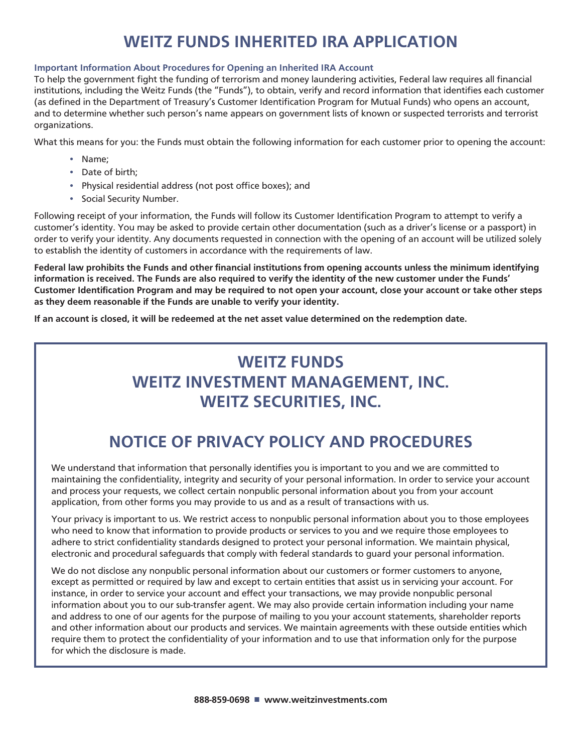# **WEITZ FUNDS INHERITED IRA APPLICATION**

#### **Important Information About Procedures for Opening an Inherited IRA Account**

To help the government fight the funding of terrorism and money laundering activities, Federal law requires all financial institutions, including the Weitz Funds (the "Funds"), to obtain, verify and record information that identifies each customer (as defined in the Department of Treasury's Customer Identification Program for Mutual Funds) who opens an account, and to determine whether such person's name appears on government lists of known or suspected terrorists and terrorist organizations.

What this means for you: the Funds must obtain the following information for each customer prior to opening the account:

- Name;
- Date of birth;
- Physical residential address (not post office boxes); and
- Social Security Number.

Following receipt of your information, the Funds will follow its Customer Identification Program to attempt to verify a customer's identity. You may be asked to provide certain other documentation (such as a driver's license or a passport) in order to verify your identity. Any documents requested in connection with the opening of an account will be utilized solely to establish the identity of customers in accordance with the requirements of law.

**Federal law prohibits the Funds and other financial institutions from opening accounts unless the minimum identifying information is received. The Funds are also required to verify the identity of the new customer under the Funds' Customer Identification Program and may be required to not open your account, close your account or take other steps as they deem reasonable if the Funds are unable to verify your identity.**

**If an account is closed, it will be redeemed at the net asset value determined on the redemption date.**

# **WEITZ FUNDS WEITZ INVESTMENT MANAGEMENT, INC. WEITZ SECURITIES, INC.**

# **NOTICE OF PRIVACY POLICY AND PROCEDURES**

We understand that information that personally identifies you is important to you and we are committed to maintaining the confidentiality, integrity and security of your personal information. In order to service your account and process your requests, we collect certain nonpublic personal information about you from your account application, from other forms you may provide to us and as a result of transactions with us.

Your privacy is important to us. We restrict access to nonpublic personal information about you to those employees who need to know that information to provide products or services to you and we require those employees to adhere to strict confidentiality standards designed to protect your personal information. We maintain physical, electronic and procedural safeguards that comply with federal standards to guard your personal information.

We do not disclose any nonpublic personal information about our customers or former customers to anyone, except as permitted or required by law and except to certain entities that assist us in servicing your account. For instance, in order to service your account and effect your transactions, we may provide nonpublic personal information about you to our sub-transfer agent. We may also provide certain information including your name and address to one of our agents for the purpose of mailing to you your account statements, shareholder reports and other information about our products and services. We maintain agreements with these outside entities which require them to protect the confidentiality of your information and to use that information only for the purpose for which the disclosure is made.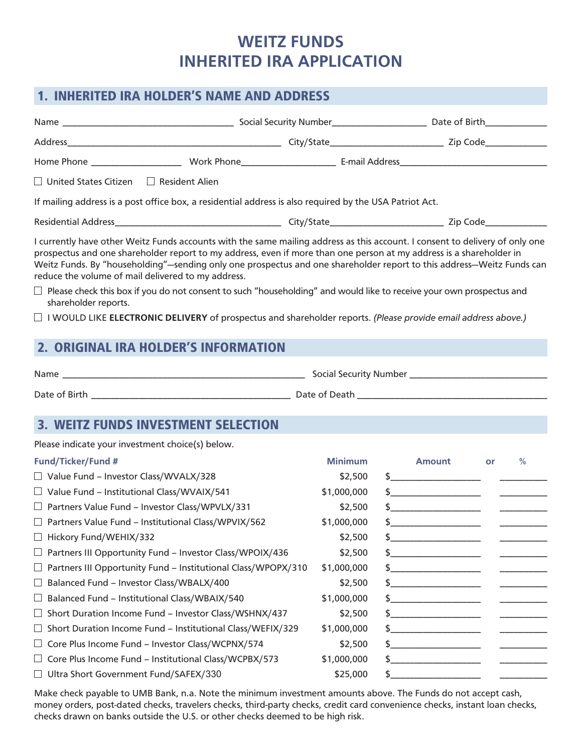### **WEITZ FUNDS INHERITED IRA APPLICATION**

### 1. INHERITED IRA HOLDER'S NAME AND ADDRESS

| $\Box$ United States Citizen $\Box$ Resident Alien                                                                                                                                                                                                                                                                                                                                                                                 |                |                                                                  |    |                               |
|------------------------------------------------------------------------------------------------------------------------------------------------------------------------------------------------------------------------------------------------------------------------------------------------------------------------------------------------------------------------------------------------------------------------------------|----------------|------------------------------------------------------------------|----|-------------------------------|
| If mailing address is a post office box, a residential address is also required by the USA Patriot Act.                                                                                                                                                                                                                                                                                                                            |                |                                                                  |    |                               |
|                                                                                                                                                                                                                                                                                                                                                                                                                                    |                |                                                                  |    |                               |
| I currently have other Weitz Funds accounts with the same mailing address as this account. I consent to delivery of only one<br>prospectus and one shareholder report to my address, even if more than one person at my address is a shareholder in<br>Weitz Funds. By "householding"-sending only one prospectus and one shareholder report to this address-Weitz Funds can<br>reduce the volume of mail delivered to my address. |                |                                                                  |    |                               |
| $\Box$ Please check this box if you do not consent to such "householding" and would like to receive your own prospectus and<br>shareholder reports.                                                                                                                                                                                                                                                                                |                |                                                                  |    |                               |
| $\Box$ I WOULD LIKE ELECTRONIC DELIVERY of prospectus and shareholder reports. (Please provide email address above.)                                                                                                                                                                                                                                                                                                               |                |                                                                  |    |                               |
| 2. ORIGINAL IRA HOLDER'S INFORMATION                                                                                                                                                                                                                                                                                                                                                                                               |                |                                                                  |    |                               |
|                                                                                                                                                                                                                                                                                                                                                                                                                                    |                |                                                                  |    |                               |
|                                                                                                                                                                                                                                                                                                                                                                                                                                    |                |                                                                  |    |                               |
|                                                                                                                                                                                                                                                                                                                                                                                                                                    |                |                                                                  |    |                               |
|                                                                                                                                                                                                                                                                                                                                                                                                                                    |                |                                                                  |    |                               |
| <b>3. WEITZ FUNDS INVESTMENT SELECTION</b>                                                                                                                                                                                                                                                                                                                                                                                         |                |                                                                  |    |                               |
| Please indicate your investment choice(s) below.                                                                                                                                                                                                                                                                                                                                                                                   |                |                                                                  |    |                               |
| <b>Fund/Ticker/Fund #</b>                                                                                                                                                                                                                                                                                                                                                                                                          | <b>Minimum</b> | <b>Amount</b>                                                    | or | $\frac{0}{0}$                 |
| $\Box$ Value Fund – Investor Class/WVALX/328                                                                                                                                                                                                                                                                                                                                                                                       | \$2,500        |                                                                  |    |                               |
| $\Box$ Value Fund – Institutional Class/WVAIX/541                                                                                                                                                                                                                                                                                                                                                                                  | \$1,000,000    |                                                                  |    |                               |
| □ Partners Value Fund - Investor Class/WPVLX/331                                                                                                                                                                                                                                                                                                                                                                                   | \$2,500        |                                                                  |    | <u>Contract Communication</u> |
| $\Box$ Partners Value Fund – Institutional Class/WPVIX/562                                                                                                                                                                                                                                                                                                                                                                         | \$1,000,000    |                                                                  |    |                               |
| Hickory Fund/WEHIX/332                                                                                                                                                                                                                                                                                                                                                                                                             | \$2,500        | the control of the control of the control of the                 |    |                               |
| Partners III Opportunity Fund - Investor Class/WPOIX/436                                                                                                                                                                                                                                                                                                                                                                           | \$2,500        |                                                                  |    |                               |
| Partners III Opportunity Fund - Institutional Class/WPOPX/310<br>$\Box$                                                                                                                                                                                                                                                                                                                                                            | \$1,000,000    | \$                                                               |    |                               |
| Balanced Fund - Investor Class/WBALX/400                                                                                                                                                                                                                                                                                                                                                                                           | \$2,500        | <u> 1980 - Johann Barbara, martin a</u>                          |    |                               |
| Balanced Fund - Institutional Class/WBAIX/540<br>⊔                                                                                                                                                                                                                                                                                                                                                                                 | \$1,000,000    | <u> 1949 - Johann John Harry Harry John Barnett, amerikan ba</u> |    |                               |
| Short Duration Income Fund - Investor Class/WSHNX/437<br>$\sqcup$                                                                                                                                                                                                                                                                                                                                                                  | \$2,500        | \$                                                               |    |                               |
| Short Duration Income Fund - Institutional Class/WEFIX/329<br>⊔                                                                                                                                                                                                                                                                                                                                                                    | \$1,000,000    |                                                                  |    |                               |
| Core Plus Income Fund - Investor Class/WCPNX/574                                                                                                                                                                                                                                                                                                                                                                                   | \$2,500        |                                                                  |    |                               |
| Core Plus Income Fund - Institutional Class/WCPBX/573<br>$\sqcup$                                                                                                                                                                                                                                                                                                                                                                  | \$1,000,000    | \$                                                               |    |                               |
| Ultra Short Government Fund/SAFEX/330                                                                                                                                                                                                                                                                                                                                                                                              | \$25,000       | \$                                                               |    |                               |

Make check payable to UMB Bank, n.a. Note the minimum investment amounts above. The Funds do not accept cash, money orders, post-dated checks, travelers checks, third-party checks, credit card convenience checks, instant loan checks, checks drawn on banks outside the U.S. or other checks deemed to be high risk.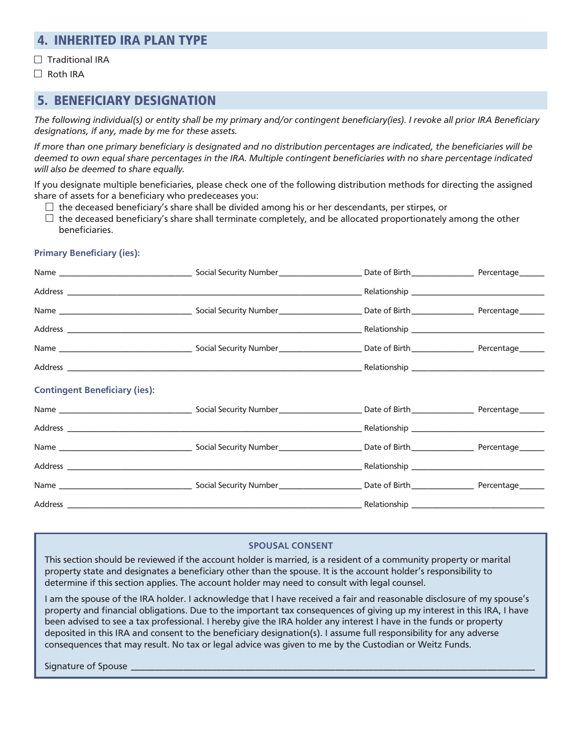### 4. INHERITED IRA PLAN TYPE

 $\Box$  Traditional IRA

□ Roth IRA

#### 5. BENEFICIARY DESIGNATION

*The following individual(s) or entity shall be my primary and/or contingent beneficiary(ies). I revoke all prior IRA Beneficiary designations, if any, made by me for these assets.* 

*If more than one primary beneficiary is designated and no distribution percentages are indicated, the beneficiaries will be deemed to own equal share percentages in the IRA. Multiple contingent beneficiaries with no share percentage indicated will also be deemed to share equally.*

If you designate multiple beneficiaries, please check one of the following distribution methods for directing the assigned share of assets for a beneficiary who predeceases you:

 $\Box$  the deceased beneficiary's share shall be divided among his or her descendants, per stirpes, or

 $\Box$  the deceased beneficiary's share shall terminate completely, and be allocated proportionately among the other beneficiaries.

#### **Primary Beneficiary (ies):**

| <b>Contingent Beneficiary (ies):</b> |  |  |
|--------------------------------------|--|--|
|                                      |  |  |
|                                      |  |  |
|                                      |  |  |
|                                      |  |  |
|                                      |  |  |
|                                      |  |  |

#### **SPOUSAL CONSENT**

This section should be reviewed if the account holder is married, is a resident of a community property or marital property state and designates a beneficiary other than the spouse. It is the account holder's responsibility to determine if this section applies. The account holder may need to consult with legal counsel.

I am the spouse of the IRA holder. I acknowledge that I have received a fair and reasonable disclosure of my spouse's property and financial obligations. Due to the important tax consequences of giving up my interest in this IRA, I have been advised to see a tax professional. I hereby give the IRA holder any interest I have in the funds or property deposited in this IRA and consent to the beneficiary designation(s). I assume full responsibility for any adverse consequences that may result. No tax or legal advice was given to me by the Custodian or Weitz Funds.

Signature of Spouse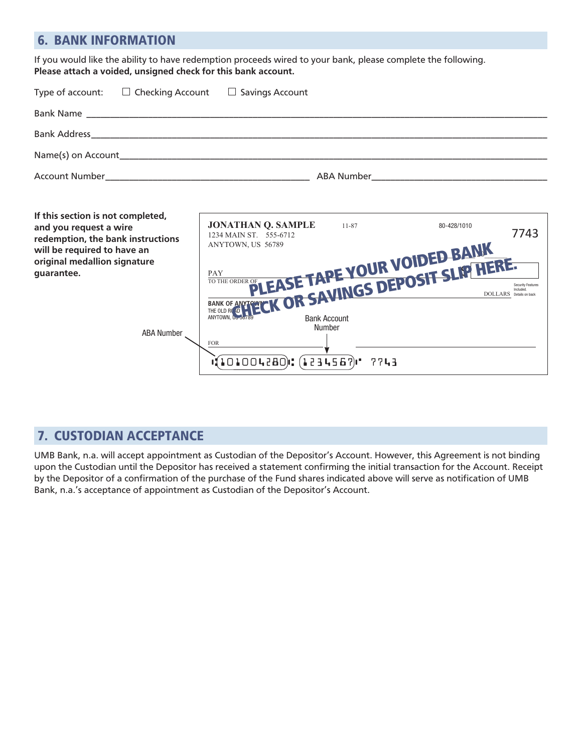### 6. BANK INFORMATION

If you would like the ability to have redemption proceeds wired to your bank, please complete the following. **Please attach a voided, unsigned check for this bank account.**

|                | Type of account: $\square$ Checking Account $\square$ Savings Account |                              |  |
|----------------|-----------------------------------------------------------------------|------------------------------|--|
|                |                                                                       |                              |  |
|                |                                                                       |                              |  |
|                |                                                                       |                              |  |
| Account Number |                                                                       | ABA Number <b>ABA</b> Number |  |

| If this section is not completed,<br>and you request a wire<br>redemption, the bank instructions | <b>JONATHAN Q. SAMPLE</b><br>1234 MAIN ST. 555-6712        | 11-87 | 80-428/1010 | 7743                                                |
|--------------------------------------------------------------------------------------------------|------------------------------------------------------------|-------|-------------|-----------------------------------------------------|
| will be required to have an<br>original medallion signature                                      | ANYTOWN, US 56789                                          |       |             |                                                     |
| quarantee.                                                                                       | PLEASE TAPE YOUR VOIDED BANK<br>FLEADE INTERNET SLIP HERE. |       |             | <b>Security Features</b><br>DOLLARS Details on back |
| <b>ABA Number</b>                                                                                | <b>Bank Account</b><br>Number                              |       |             |                                                     |
|                                                                                                  | <b>FOR</b><br>$(101004280)$ : $(1234567)$ $($              | 7743  |             |                                                     |

### 7. CUSTODIAN ACCEPTANCE

UMB Bank, n.a. will accept appointment as Custodian of the Depositor's Account. However, this Agreement is not binding upon the Custodian until the Depositor has received a statement confirming the initial transaction for the Account. Receipt by the Depositor of a confirmation of the purchase of the Fund shares indicated above will serve as notification of UMB Bank, n.a.'s acceptance of appointment as Custodian of the Depositor's Account.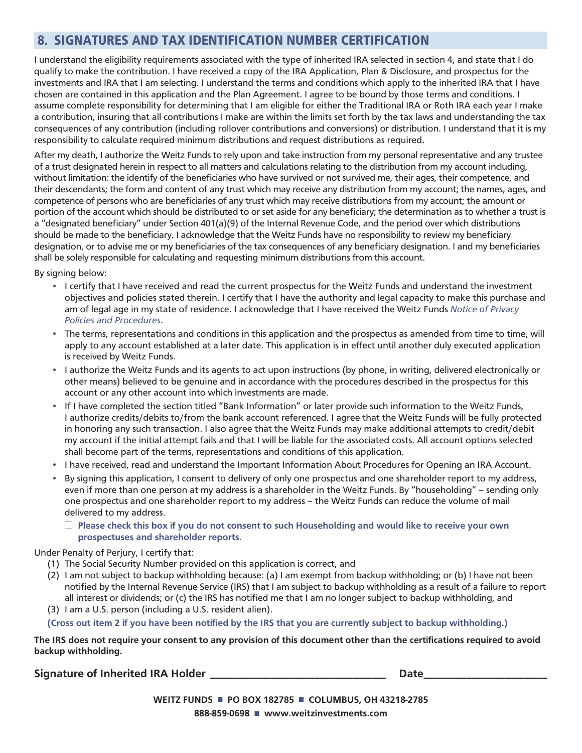### 8. SIGNATURES AND TAX IDENTIFICATION NUMBER CERTIFICATION

I understand the eligibility requirements associated with the type of inherited IRA selected in section 4, and state that I do qualify to make the contribution. I have received a copy of the IRA Application, Plan & Disclosure, and prospectus for the investments and IRA that I am selecting. I understand the terms and conditions which apply to the inherited IRA that I have chosen are contained in this application and the Plan Agreement. I agree to be bound by those terms and conditions. I assume complete responsibility for determining that I am eligible for either the Traditional IRA or Roth IRA each year I make a contribution, insuring that all contributions I make are within the limits set forth by the tax laws and understanding the tax consequences of any contribution (including rollover contributions and conversions) or distribution. I understand that it is my responsibility to calculate required minimum distributions and request distributions as required.

After my death, I authorize the Weitz Funds to rely upon and take instruction from my personal representative and any trustee of a trust designated herein in respect to all matters and calculations relating to the distribution from my account including, without limitation: the identify of the beneficiaries who have survived or not survived me, their ages, their competence, and their descendants; the form and content of any trust which may receive any distribution from my account; the names, ages, and competence of persons who are beneficiaries of any trust which may receive distributions from my account; the amount or portion of the account which should be distributed to or set aside for any beneficiary; the determination as to whether a trust is a "designated beneficiary" under Section 401(a)(9) of the Internal Revenue Code, and the period over which distributions should be made to the beneficiary. I acknowledge that the Weitz Funds have no responsibility to review my beneficiary designation, or to advise me or my beneficiaries of the tax consequences of any beneficiary designation. I and my beneficiaries shall be solely responsible for calculating and requesting minimum distributions from this account.

By signing below:

- I certify that I have received and read the current prospectus for the Weitz Funds and understand the investment objectives and policies stated therein. I certify that I have the authority and legal capacity to make this purchase and am of legal age in my state of residence. I acknowledge that I have received the Weitz Funds *Notice of Privacy Policies and Procedures*.
- The terms, representations and conditions in this application and the prospectus as amended from time to time, will apply to any account established at a later date. This application is in effect until another duly executed application is received by Weitz Funds.
- I authorize the Weitz Funds and its agents to act upon instructions (by phone, in writing, delivered electronically or other means) believed to be genuine and in accordance with the procedures described in the prospectus for this account or any other account into which investments are made.
- If I have completed the section titled "Bank Information" or later provide such information to the Weitz Funds, I authorize credits/debits to/from the bank account referenced. I agree that the Weitz Funds will be fully protected in honoring any such transaction. I also agree that the Weitz Funds may make additional attempts to credit/debit my account if the initial attempt fails and that I will be liable for the associated costs. All account options selected shall become part of the terms, representations and conditions of this application.
- I have received, read and understand the Important Information About Procedures for Opening an IRA Account.
- By signing this application, I consent to delivery of only one prospectus and one shareholder report to my address, even if more than one person at my address is a shareholder in the Weitz Funds. By "householding" – sending only one prospectus and one shareholder report to my address – the Weitz Funds can reduce the volume of mail delivered to my address.
	- **Please check this box if you do not consent to such Householding and would like to receive your own prospectuses and shareholder reports.**

Under Penalty of Perjury, I certify that:

- (1) The Social Security Number provided on this application is correct, and
- (2) I am not subject to backup withholding because: (a) I am exempt from backup withholding; or (b) I have not been notified by the Internal Revenue Service (IRS) that I am subject to backup withholding as a result of a failure to report all interest or dividends; or (c) the IRS has notified me that I am no longer subject to backup withholding, and
- (3) I am a U.S. person (including a U.S. resident alien).
- **(Cross out item 2 if you have been notified by the IRS that you are currently subject to backup withholding.)**

**The IRS does not require your consent to any provision of this document other than the certifications required to avoid backup withholding.**

**Signature of Inherited IRA Holder \_\_\_\_\_\_\_\_\_\_\_\_\_\_\_\_\_\_\_\_\_\_\_\_\_\_\_\_\_\_\_\_\_\_\_\_\_ Date\_\_\_\_\_\_\_\_\_\_\_\_\_\_\_\_\_\_\_\_\_\_\_\_\_\_**

**WEITZ FUNDS** ■ **PO BOX 182785** ■ **COLUMBUS, OH 43218-2785 888-859-0698** ■ **www.weitzinvestments.com**